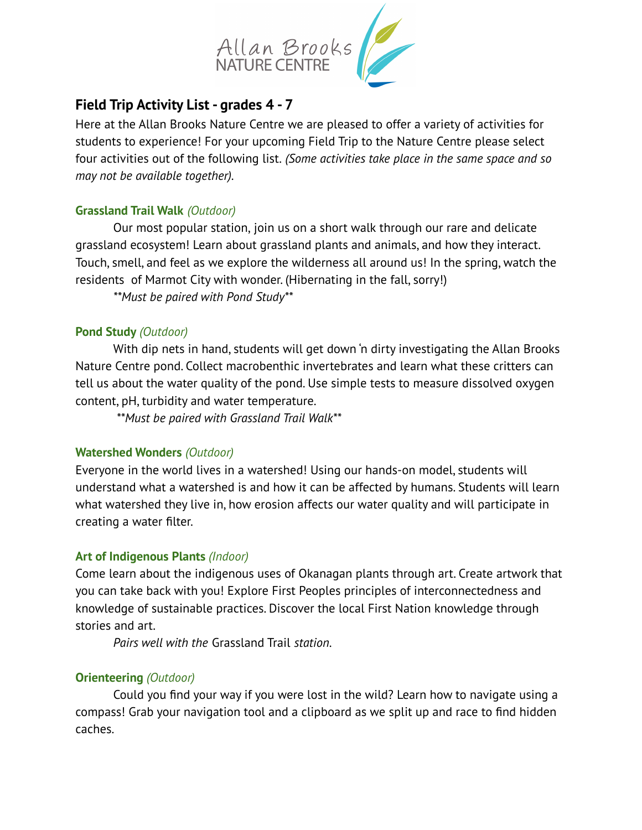

# **Field Trip Activity List - grades 4 - 7**

Here at the Allan Brooks Nature Centre we are pleased to offer a variety of activities for students to experience! For your upcoming Field Trip to the Nature Centre please select four activities out of the following list. *(Some activities take place in the same space and so may not be available together).*

### **Grassland Trail Walk** *(Outdoor)*

Our most popular station, join us on a short walk through our rare and delicate grassland ecosystem! Learn about grassland plants and animals, and how they interact. Touch, smell, and feel as we explore the wilderness all around us! In the spring, watch the residents of Marmot City with wonder. (Hibernating in the fall, sorry!)

*\*\*Must be paired with Pond Study\*\**

### **Pond Study** *(Outdoor)*

With dip nets in hand, students will get down 'n dirty investigating the Allan Brooks Nature Centre pond. Collect macrobenthic invertebrates and learn what these critters can tell us about the water quality of the pond. Use simple tests to measure dissolved oxygen content, pH, turbidity and water temperature.

*\*\*Must be paired with Grassland Trail Walk\*\**

# **Watershed Wonders** *(Outdoor)*

Everyone in the world lives in a watershed! Using our hands-on model, students will understand what a watershed is and how it can be affected by humans. Students will learn what watershed they live in, how erosion affects our water quality and will participate in creating a water filter.

# **Art of Indigenous Plants** *(Indoor)*

Come learn about the indigenous uses of Okanagan plants through art. Create artwork that you can take back with you! Explore First Peoples principles of interconnectedness and knowledge of sustainable practices. Discover the local First Nation knowledge through stories and art.

*Pairs well with the* Grassland Trail *station.*

# **Orienteering** *(Outdoor)*

Could you find your way if you were lost in the wild? Learn how to navigate using a compass! Grab your navigation tool and a clipboard as we split up and race to find hidden caches.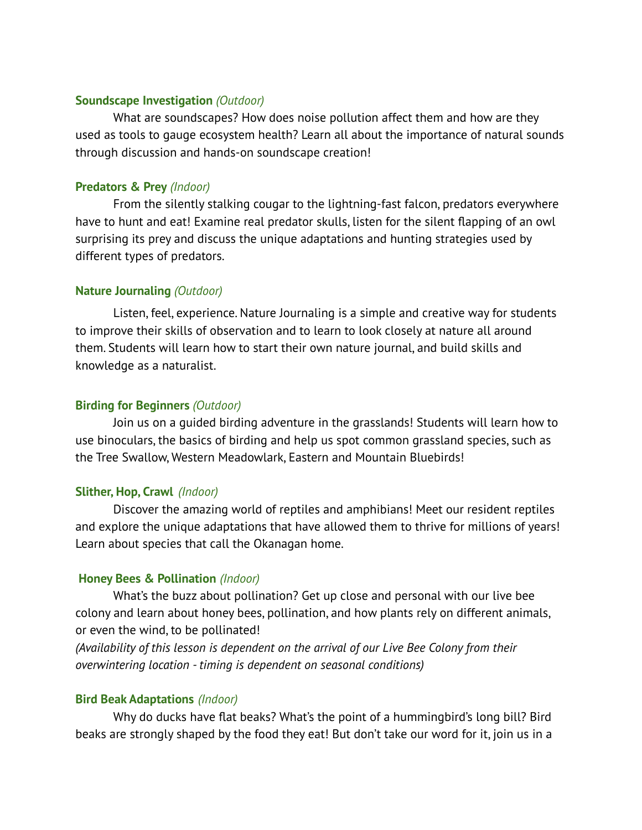#### **Soundscape Investigation** *(Outdoor)*

What are soundscapes? How does noise pollution affect them and how are they used as tools to gauge ecosystem health? Learn all about the importance of natural sounds through discussion and hands-on soundscape creation!

#### **Predators & Prey** *(Indoor)*

From the silently stalking cougar to the lightning-fast falcon, predators everywhere have to hunt and eat! Examine real predator skulls, listen for the silent flapping of an owl surprising its prey and discuss the unique adaptations and hunting strategies used by different types of predators.

### **Nature Journaling** *(Outdoor)*

Listen, feel, experience. Nature Journaling is a simple and creative way for students to improve their skills of observation and to learn to look closely at nature all around them. Students will learn how to start their own nature journal, and build skills and knowledge as a naturalist.

### **Birding for Beginners** *(Outdoor)*

Join us on a guided birding adventure in the grasslands! Students will learn how to use binoculars, the basics of birding and help us spot common grassland species, such as the Tree Swallow, Western Meadowlark, Eastern and Mountain Bluebirds!

#### **Slither, Hop, Crawl** *(Indoor)*

Discover the amazing world of reptiles and amphibians! Meet our resident reptiles and explore the unique adaptations that have allowed them to thrive for millions of years! Learn about species that call the Okanagan home.

#### **Honey Bees & Pollination** *(Indoor)*

What's the buzz about pollination? Get up close and personal with our live bee colony and learn about honey bees, pollination, and how plants rely on different animals, or even the wind, to be pollinated!

*(Availability of this lesson is dependent on the arrival of our Live Bee Colony from their overwintering location - timing is dependent on seasonal conditions)*

#### **Bird Beak Adaptations** *(Indoor)*

Why do ducks have flat beaks? What's the point of a hummingbird's long bill? Bird beaks are strongly shaped by the food they eat! But don't take our word for it, join us in a